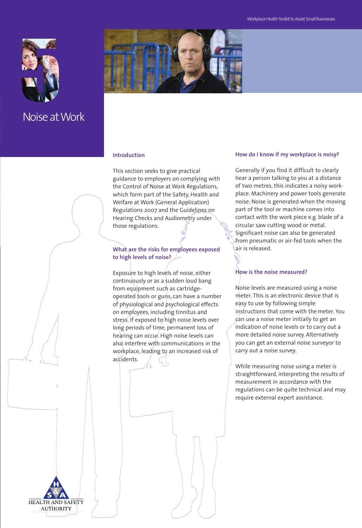

Noise atWork



## **Introduction**

This section seeks to give practical guidance to employers on complying with the Control of Noise at Work Regulations, which form part of the Safety, Health and Welfare at Work (General Application) Regulations 2007 and the Guidelines on Hearing Checks and Audiometry under those regulations.

## **What are the risks for employees exposed to high levels of noise?**

Exposure to high levels of noise, either continuously or as a sudden loud bang from equipment such as cartridgeoperated tools or guns, can have a number of physiological and psychological effects on employees, including tinnitus and stress. If exposed to high noise levels over long periods of time, permanent loss of hearing can occur. High noise levels can also interfere with communications in the workplace, leading to an increased risk of accidents.

#### **How do I know if my workplace is noisy?**

Generally if you find it difficult to clearly hear a person talking to you at a distance of two metres, this indicates a noisy workplace. Machinery and power tools generate noise. Noise is generated when the moving part of the tool or machine comes into contact with the work piece e.g. blade of a circular saw cutting wood or metal. Significant noise can also be generated from pneumatic or air-fed tools when the air is released.

## **How is the noise measured?**

Noise levels are measured using a noise meter. This is an electronic device that is easy to use by following simple instructions that come with the meter. You  $\epsilon$ an use a noise meter initially to get an indication of noise levels or to carry out a more detailed noise survey. Alternatively you can get an external noise surveyor to carry out a noise survey.

While measuring noise using a meter is straightforward, interpreting the results of measurement in accordance with the regulations can be quite technical and may require external expert assistance.

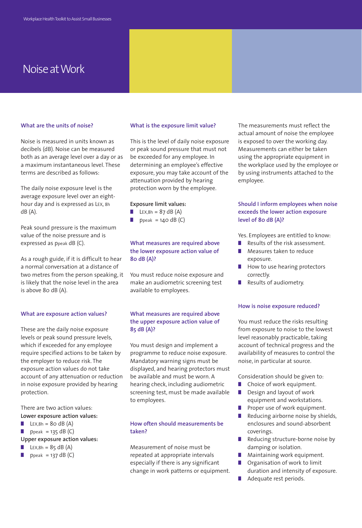## Noise atWork

#### **What are the units of noise?**

Noise is measured in units known as decibels (dB). Noise can be measured both as an average level over a day or as a maximum instantaneous level. These terms are described as follows:

The daily noise exposure level is the average exposure level over an eighthour day and is expressed as LEX, 8h dB (A).

Peak sound pressure is the maximum value of the noise pressure and is expressed as ppeak dB (C).

As a rough guide, if it is difficult to hear a normal conversation at a distance of two metres from the person speaking, it is likely that the noise level in the area is above 80 dB (A).

#### **What are exposure action values?**

These are the daily noise exposure levels or peak sound pressure levels, which if exceeded for any employee require specified actions to be taken by the employer to reduce risk. The exposure action values do not take account of any attenuation or reduction in noise exposure provided by hearing protection.

There are two action values:

- **Lower exposure action values:**
- $\blacksquare$  LEX, 8h = 80 dB (A)
- $\n<sub>p</sub>$  ppeak = 135 dB (C)

**Upper exposure action values:**

- $LEX,8h = 85$  dB (A)
- **■** ppeak = 137 dB (C)

#### **What is the exposure limit value?**

This is the level of daily noise exposure or peak sound pressure that must not be exceeded for any employee. In determining an employee's effective exposure, you may take account of the attenuation provided by hearing protection worn by the employee.

#### **Exposure limit values:**

- **LEX,8h** =  $87$  dB (A)
- $\n<sub>Ppeak</sub> = 140 dB (C)$

## **What measures are required above the lower exposure action value of 80 dB (A)?**

You must reduce noise exposure and make an audiometric screening test available to employees.

#### **What measures are required above the upper exposure action value of 85 dB (A)?**

You must design and implement a programme to reduce noise exposure. Mandatory warning signs must be displayed, and hearing protectors must be available and must be worn. A hearing check, including audiometric screening test, must be made available to employees.

## **How often should measurements be taken?**

Measurement of noise must be repeated at appropriate intervals especially if there is any significant change in work patterns or equipment. The measurements must reflect the actual amount of noise the employee is exposed to over the working day. Measurements can either be taken using the appropriate equipment in the workplace used by the employee or by using instruments attached to the employee.

#### **Should I inform employees when noise exceeds the lower action exposure level of 80 dB (A)?**

Yes. Employees are entitled to know:

- **■** Results of the risk assessment.
- Measures taken to reduce exposure.
- How to use hearing protectors correctly.
- Results of audiometry.

#### **How is noise exposure reduced?**

You must reduce the risks resulting from exposure to noise to the lowest level reasonably practicable, taking account of technical progress and the availability of measures to control the noise, in particular at source.

Consideration should be given to:

- **■** Choice of work equipment.
- Design and layout of work
- equipment and workstations. ■ Proper use of work equipment.
- **■** Reducing airborne noise by shields, enclosures and sound-absorbent coverings.
- Reducing structure-borne noise by damping or isolation.
- Maintaining work equipment.
- Organisation of work to limit duration and intensity of exposure.
- **■** Adequate rest periods.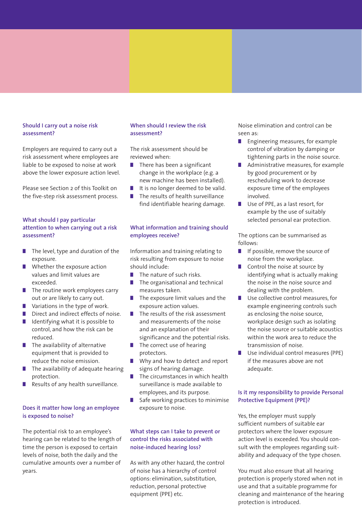#### **Should I carry out a noise risk assessment?**

Employers are required to carry out a risk assessment where employees are liable to be exposed to noise at work above the lower exposure action level.

Please see Section 2 of this Toolkit on the five-step risk assessment process.

## **What should I pay particular attention to when carrying out a risk assessment?**

- The level, type and duration of the exposure.
- **■** Whether the exposure action values and limit values are exceeded.
- The routine work employees carry out or are likely to carry out.
- **■** Variations in the type of work.
- **■** Direct and indirect effects of noise. ■ Identifying what it is possible to
- control, and how the risk can be reduced.
- The availability of alternative equipment that is provided to reduce the noise emission.
- **■** The availability of adequate hearing protection.
- **■** Results of any health surveillance.

#### **Does it matter how long an employee is exposed to noise?**

The potential risk to an employee's hearing can be related to the length of time the person is exposed to certain levels of noise, both the daily and the cumulative amounts over a number of years.

## **When should I review the risk assessment?**

The risk assessment should be reviewed when:

- There has been a significant change in the workplace (e.g. a new machine has been installed).
- It is no longer deemed to be valid.
- **■** The results of health surveillance find identifiable hearing damage.

## **What information and training should employees receive?**

Information and training relating to risk resulting from exposure to noise should include:

- The nature of such risks.
- The organisational and technical measures taken.
- The exposure limit values and the exposure action values.
- The results of the risk assessment and measurements of the noise and an explanation of their significance and the potential risks.
- The correct use of hearing protectors.
- Why and how to detect and report signs of hearing damage.
- **■** The circumstances in which health surveillance is made available to employees, and its purpose.
- Safe working practices to minimise exposure to noise.

## **What steps can I take to prevent or control the risks associated with noise-induced hearing loss?**

As with any other hazard, the control of noise has a hierarchy of control options: elimination, substitution, reduction, personal protective equipment (PPE) etc.

Noise elimination and control can be seen as:

- Engineering measures, for example control of vibration by damping or tightening parts in the noise source.
- Administrative measures, for example by good procurement or by rescheduling work to decrease exposure time of the employees involved.
- Use of PPE, as a last resort, for example by the use of suitably selected personal ear protection.

The options can be summarised as follows:

- If possible, remove the source of noise from the workplace.
- Control the noise at source by identifying what is actually making the noise in the noise source and dealing with the problem.
- Use collective control measures, for example engineering controls such as enclosing the noise source, workplace design such as isolating the noise source or suitable acoustics within the work area to reduce the transmission of noise.
- Use individual control measures (PPE) if the measures above are not adequate.

## **Is it my responsibility to provide Personal Protective Equipment (PPE)?**

Yes, the employer must supply sufficient numbers of suitable ear protectors where the lower exposure action level is exceeded. You should consult with the employees regarding suitability and adequacy of the type chosen.

You must also ensure that all hearing protection is properly stored when not in use and that a suitable programme for cleaning and maintenance of the hearing protection is introduced.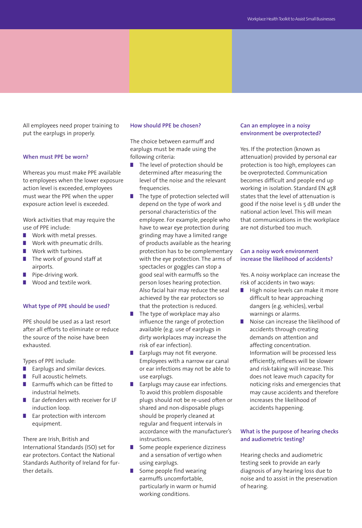All employees need proper training to put the earplugs in properly.

#### **When must PPE be worn?**

Whereas you must make PPE available to employees when the lower exposure action level is exceeded, employees must wear the PPE when the upper exposure action level is exceeded.

Work activities that may require the use of PPE include:

- Work with metal presses.
- Work with pneumatic drills.
- Work with turbines.
- The work of ground staff at airports.
- **■** Pipe-driving work.
- **■** Wood and textile work.

#### **What type of PPE should be used?**

PPE should be used as a last resort after all efforts to eliminate or reduce the source of the noise have been exhausted.

Types of PPE include:

- Earplugs and similar devices.
- **■** Full acoustic helmets.
- **Earmuffs which can be fitted to** industrial helmets.
- Ear defenders with receiver for LF induction loop.
- **Ear protection with intercom** equipment.

There are Irish, British and International Standards (ISO) set for ear protectors. Contact the National Standards Authority of Ireland for further details.

#### **How should PPE be chosen?**

The choice between earmuff and earplugs must be made using the following criteria:

- The level of protection should be determined after measuring the level of the noise and the relevant frequencies.
- The type of protection selected will depend on the type of work and personal characteristics of the employee. For example, people who have to wear eye protection during grinding may have a limited range of products available as the hearing protection has to be complementary with the eye protection. The arms of spectacles or goggles can stop a good seal with earmuffs so the person loses hearing protection. Also facial hair may reduce the seal achieved by the ear protectors so that the protection is reduced.
- The type of workplace may also influence the range of protection available (e.g. use of earplugs in dirty workplaces may increase the risk of ear infection).
- Earplugs may not fit everyone. Employees with a narrow ear canal or ear infections may not be able to use earplugs.
- **Earplugs may cause ear infections.** To avoid this problem disposable plugs should not be re-used often or shared and non-disposable plugs should be properly cleaned at regular and frequent intervals in accordance with the manufacturer's instructions.
- Some people experience dizziness and a sensation of vertigo when using earplugs.
- Some people find wearing earmuffs uncomfortable, particularly in warm or humid working conditions.

#### **Can an employee in a noisy environment be overprotected?**

Yes. If the protection (known as attenuation) provided by personal ear protection is too high, employees can be overprotected. Communication becomes difficult and people end up working in isolation. Standard EN 458 states that the level of attenuation is good if the noise level is 5 dB under the national action level. This will mean that communications in the workplace are not disturbed too much.

#### **Can a noisy work environment increase the likelihood of accidents?**

Yes. A noisy workplace can increase the risk of accidents in two ways:

- High noise levels can make it more difficult to hear approaching dangers (e.g. vehicles), verbal warnings or alarms.
- Noise can increase the likelihood of accidents through creating demands on attention and affecting concentration. Information will be processed less efficiently, reflexes will be slower and risk-taking will increase. This does not leave much capacity for noticing risks and emergencies that may cause accidents and therefore increases the likelihood of accidents happening.

## **What is the purpose of hearing checks and audiometric testing?**

Hearing checks and audiometric testing seek to provide an early diagnosis of any hearing loss due to noise and to assist in the preservation of hearing.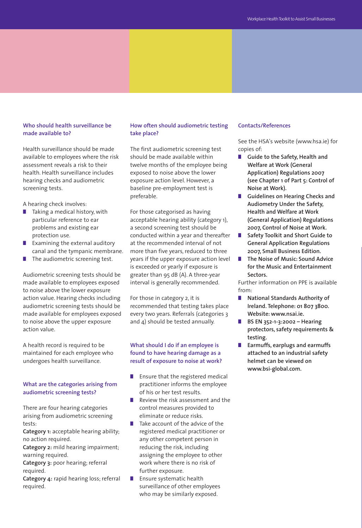#### **Who should health surveillance be made available to?**

Health surveillance should be made available to employees where the risk assessment reveals a risk to their health. Health surveillance includes hearing checks and audiometric screening tests.

A hearing check involves:

- Taking a medical history, with particular reference to ear problems and existing ear protection use.
- **■** Examining the external auditory canal and the tympanic membrane.
- The audiometric screening test.

Audiometric screening tests should be made available to employees exposed to noise above the lower exposure action value. Hearing checks including audiometric screening tests should be made available for employees exposed to noise above the upper exposure action value.

A health record is required to be maintained for each employee who undergoes health surveillance.

#### **What are the categories arising from audiometric screening tests?**

There are four hearing categories arising from audiometric screening tests:

**Category 1:** acceptable hearing ability; no action required.

**Category 2:** mild hearing impairment; warning required.

**Category 3:** poor hearing; referral required.

**Category 4:** rapid hearing loss; referral required.

#### **How often should audiometric testing take place?**

The first audiometric screening test should be made available within twelve months of the employee being exposed to noise above the lower exposure action level. However, a baseline pre-employment test is preferable.

For those categorised as having acceptable hearing ability (category 1), a second screening test should be conducted within a year and thereafter at the recommended interval of not more than five years, reduced to three years if the upper exposure action level is exceeded or yearly if exposure is greater than 95 dB (A). A three-year interval is generally recommended.

For those in category 2, it is recommended that testing takes place every two years. Referrals (categories 3 and 4) should be tested annually.

## **What should I do if an employee is found to have hearing damage as a result of exposure to noise at work?**

- Ensure that the registered medical practitioner informs the employee of his or her test results.
- Review the risk assessment and the control measures provided to eliminate or reduce risks.
- **■** Take account of the advice of the registered medical practitioner or any other competent person in reducing the risk, including assigning the employee to other work where there is no risk of further exposure.
- **■** Ensure systematic health surveillance of other employees who may be similarly exposed.

#### **Contacts/References**

See the HSA's website (www.hsa.ie) for copies of:

- **Guide to the Safety, Health and Welfare at Work (General Application) Regulations 2007 (see Chapter 1 of Part 5: Control of Noise at Work).**
- **■ Guidelines on Hearing Checks and Audiometry Under the Safety, Health and Welfare at Work (General Application) Regulations 2007, Control of Noise at Work.**
- **■ Safety Toolkit and Short Guide to General Application Regulations 2007, Small Business Edition.**
- **■ The Noise of Music: Sound Advice for the Music and Entertainment Sectors.**

Further information on PPE is available from:

- **■ National Standards Authority of Ireland. Telephone: 01 807 3800. Website: www.nsai.ie.**
- **■ BS EN 352-1-3:2002 Hearing protectors, safety requirements & testing.**
- **■ Earmuffs, earplugs and earmuffs attached to an industrial safety helmet can be viewed on www.bsi-global.com.**